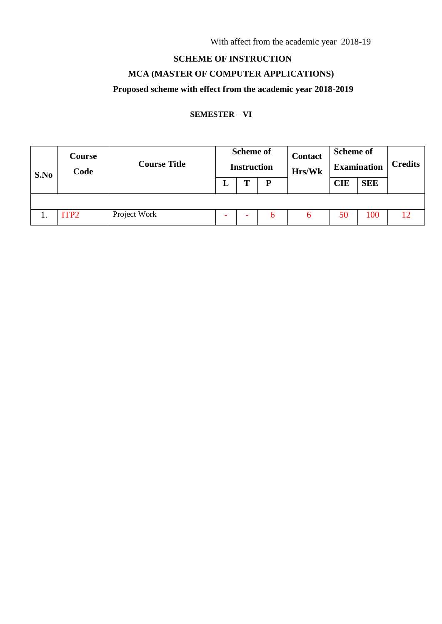With affect from the academic year 2018-19

## **SCHEME OF INSTRUCTION**

### **MCA (MASTER OF COMPUTER APPLICATIONS)**

# **Proposed scheme with effect from the academic year 2018-2019**

### **SEMESTER – VI**

| S.No | Course<br>Code   | <b>Course Title</b> | <b>Scheme of</b><br><b>Instruction</b> |  |   | <b>Contact</b><br>Hrs/Wk | <b>Scheme of</b><br><b>Examination</b> |            | <b>Credits</b> |
|------|------------------|---------------------|----------------------------------------|--|---|--------------------------|----------------------------------------|------------|----------------|
|      |                  |                     | ≖                                      |  | D |                          | <b>CIE</b>                             | <b>SEE</b> |                |
|      |                  |                     |                                        |  |   |                          |                                        |            |                |
| ı.   | ITP <sub>2</sub> | Project Work        |                                        |  | 6 | n                        | 50                                     | 100        | 12             |